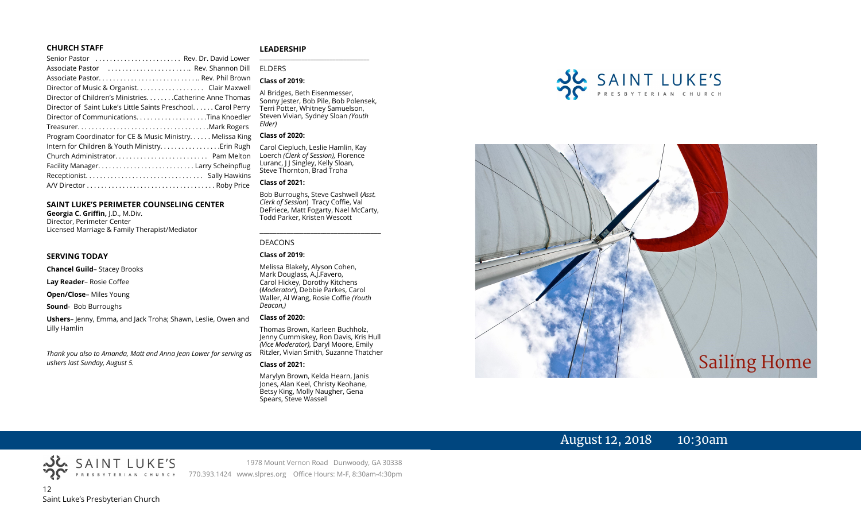#### **CHURCH STAFF**

#### Senior Pastor . . . . . . . . . . . . . . . . . . . . . . . . Rev. Dr. David Lower Associate Pastor . . . . . . . . . . . . . . . . . . . . . . .. Rev. Shannon Dill Associate Pastor. . . . . . . . . . . . . . . . . . . . . . . . . . . .. Rev. Phil Brown Director of Music & Organist. . . . . . . . . . . . . . . . . . . Clair Maxwell Director of Children's Ministries. . . . . . . .Catherine Anne Thomas Director of Saint Luke's Little Saints Preschool. . . . . . Carol Perry Director of Communications. . . . . . . . . . . . . . . . . . . .Tina Knoedler Treasurer. . . . . . . . . . . . . . . . . . . . . . . . . . . . . . . . . . . . .Mark Rogers Program Coordinator for CE & Music Ministry. . . . . . Melissa King Intern for Children & Youth Ministry. . . . . . . . . . . . . . . . .Erin Rugh Church Administrator. . . . . . . . . . . . . . . . . . . . . . . . . . Pam Melton Facility Manager. . . . . . . . . . . . . . . . . . . . . . . . . . . Larry Scheinpflug Receptionist. . . . . . . . . . . . . . . . . . . . . . . . . . . . . . . . . Sally Hawkins A/V Director . . . . . . . . . . . . . . . . . . . . . . . . . . . . . . . . . . . . Roby Price

#### **SAINT LUKE'S PERIMETER COUNSELING CENTER**

**Georgia C. Griffin,** J.D., M.Div. Director, Perimeter Center Licensed Marriage & Family Therapist/Mediator

#### **SERVING TODAY**

**Chancel Guild**– Stacey Brooks

**Lay Reader**– Rosie Coffee

**Open/Close**– Miles Young

**Sound**- Bob Burroughs

**Ushers**– Jenny, Emma, and Jack Troha; Shawn, Leslie, Owen and Lilly Hamlin

*Thank you also to Amanda, Matt and Anna Jean Lower for serving as ushers last Sunday, August 5.*

#### **LEADERSHIP** **\_\_\_\_\_\_\_\_\_\_\_\_\_\_\_\_\_\_\_\_\_\_\_\_\_\_\_\_\_\_\_\_\_\_\_\_\_\_\_**

ELDERS

#### **Class of 2019:**

Al Bridges, Beth Eisenmesser, Sonny Jester, Bob Pile, Bob Polensek, Terri Potter, Whitney Samuelson, Steven Vivian*,* Sydney Sloan *(Youth Elder)*

#### **Class of 2020:**

Carol Ciepluch, Leslie Hamlin, Kay Loerch *(Clerk of Session),* Florence Luranc, I J Singley, Kelly Sloan, Steve Thornton, Brad Troha

#### **Class of 2021:**

Bob Burroughs, Steve Cashwell (*Asst. Clerk of Session*) Tracy Coffie, Val DeFriece, Matt Fogarty, Nael McCarty, Todd Parker, Kristen Wescott

\_\_\_\_\_\_\_\_\_\_\_\_\_\_\_\_\_\_\_\_\_\_\_\_\_\_\_\_\_\_\_\_\_\_\_\_

#### DEACONS

#### **Class of 2019:**

Melissa Blakely, Alyson Cohen, Mark Douglass, A.J.Favero, Carol Hickey, Dorothy Kitchens (*Moderator*), Debbie Parkes, Carol Waller, Al Wang, Rosie Coffie *(Youth Deacon,)* 

#### **Class of 2020:**

Thomas Brown, Karleen Buchholz, Jenny Cummiskey, Ron Davis, Kris Hull *(Vice Moderator),* Daryl Moore, Emily Ritzler, Vivian Smith, Suzanne Thatcher

#### **Class of 2021:**

Marylyn Brown, Kelda Hearn, Janis Jones, Alan Keel, Christy Keohane, Betsy King, Molly Naugher, Gena Spears, Steve Wassell





# August 12, 2018 10:30am

12 Saint Luke's Presbyterian Church

1978 Mount Vernon Road Dunwoody, GA 30338 770.393.1424 www.slpres.org Office Hours: M-F, 8:30am-4:30pm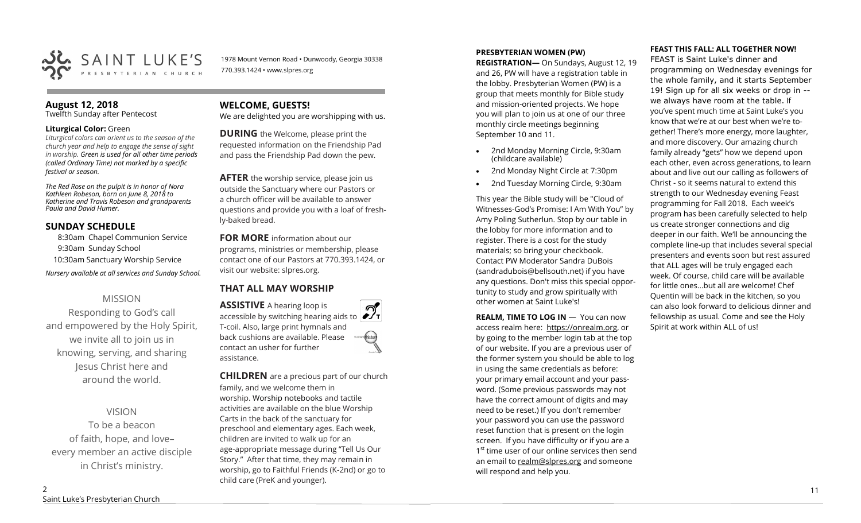

1978 Mount Vernon Road • Dunwoody, Georgia 30338 770.393.1424 • www.slpres.org

## **August 12, 2018**

Twelfth Sunday after Pentecost

#### **Liturgical Color:** Green

*Liturgical colors can orient us to the season of the church year and help to engage the sense of sight in worship. Green is used for all other time periods (called Ordinary Time) not marked by a specific festival or season.*

*The Red Rose on the pulpit is in honor of Nora Kathleen Robeson, born on June 8, 2018 to Katherine and Travis Robeson and grandparents Paula and David Humer.*

#### **SUNDAY SCHEDULE**

8:30am Chapel Communion Service 9:30am Sunday School 10:30am Sanctuary Worship Service *Nursery available at all services and Sunday School.* 

## MISSION

Responding to God's call and empowered by the Holy Spirit, we invite all to join us in knowing, serving, and sharing Jesus Christ here and around the world.

VISION To be a beacon of faith, hope, and love– every member an active disciple in Christ's ministry.

## **WELCOME, GUESTS!**

We are delighted you are worshipping with us.

**DURING** the Welcome, please print the requested information on the Friendship Pad and pass the Friendship Pad down the pew.

**AFTER** the worship service, please join us outside the Sanctuary where our Pastors or a church officer will be available to answer questions and provide you with a loaf of freshly-baked bread.

**FOR MORE** information about our programs, ministries or membership, please contact one of our Pastors at 770.393.1424, or visit our website: slpres.org.

## **THAT ALL MAY WORSHIP**

**ASSISTIVE** A hearing loop is  $\mathcal{D}_{\mathbf{r}}$ accessible by switching hearing aids to T-coil. Also, large print hymnals and back cushions are available. Please thistex contact an usher for further assistance.

**CHILDREN** are a precious part of our church family, and we welcome them in worship. Worship notebooks and tactile activities are available on the blue Worship Carts in the back of the sanctuary for preschool and elementary ages. Each week, children are invited to walk up for an age-appropriate message during "Tell Us Our Story." After that time, they may remain in worship, go to Faithful Friends (K-2nd) or go to child care (PreK and younger).

#### **PRESBYTERIAN WOMEN (PW)**

**REGISTRATION—** On Sundays, August 12, 19 and 26, PW will have a registration table in the lobby. Presbyterian Women (PW) is a group that meets monthly for Bible study and mission-oriented projects. We hope you will plan to join us at one of our three monthly circle meetings beginning September 10 and 11.

- 2nd Monday Morning Circle, 9:30am (childcare available)
- 2nd Monday Night Circle at 7:30pm
- 2nd Tuesday Morning Circle, 9:30am

This year the Bible study will be "Cloud of Witnesses-God's Promise: I Am With You" by Amy Poling Sutherlun. Stop by our table in the lobby for more information and to register. There is a cost for the study materials; so bring your checkbook. Contact PW Moderator Sandra DuBois (sandradubois@bellsouth.net) if you have any questions. Don't miss this special opportunity to study and grow spiritually with other women at Saint Luke's!

**REALM, TIME TO LOG IN - You can now** access realm here: [https://onrealm.org,](https://onrealm.org) or by going to the member login tab at the top of our website. If you are a previous user of the former system you should be able to log in using the same credentials as before: your primary email account and your password. (Some previous passwords may not have the correct amount of digits and may need to be reset.) If you don't remember your password you can use the password reset function that is present on the login screen. If you have difficulty or if you are a 1<sup>st</sup> time user of our online services then send an email to [realm@slpres.org](mailto:realm@slpres.org) and someone will respond and help you.

#### **FEAST THIS FALL: ALL TOGETHER NOW!**

FEAST is Saint Luke's dinner and programming on Wednesday evenings for the whole family, and it starts September 19! Sign up for all six weeks or drop in - we always have room at the table. If you've spent much time at Saint Luke's you know that we're at our best when we're together! There's more energy, more laughter, and more discovery. Our amazing church family already "gets" how we depend upon each other, even across generations, to learn about and live out our calling as followers of Christ - so it seems natural to extend this strength to our Wednesday evening Feast programming for Fall 2018. Each week's program has been carefully selected to help us create stronger connections and dig deeper in our faith. We'll be announcing the complete line-up that includes several special presenters and events soon but rest assured that ALL ages will be truly engaged each week. Of course, child care will be available for little ones…but all are welcome! Chef Quentin will be back in the kitchen, so you can also look forward to delicious dinner and fellowship as usual. Come and see the Holy Spirit at work within ALL of us!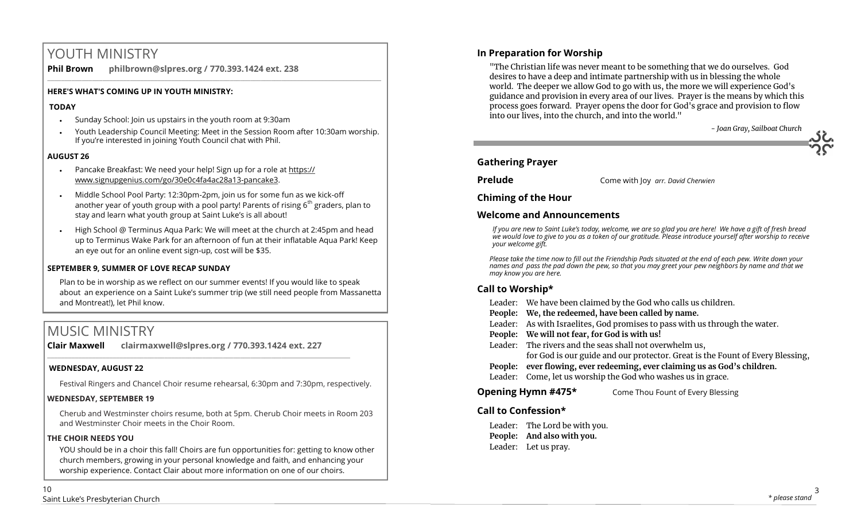# YOUTH MINISTRY

**Phil Brown philbrown@slpres.org / 770.393.1424 ext. 238**   $\_$  ,  $\_$  ,  $\_$  ,  $\_$  ,  $\_$  ,  $\_$  ,  $\_$  ,  $\_$  ,  $\_$  ,  $\_$  ,  $\_$  ,  $\_$  ,  $\_$  ,  $\_$  ,  $\_$  ,  $\_$  ,  $\_$  ,  $\_$  ,  $\_$  ,  $\_$  ,  $\_$  ,  $\_$  ,  $\_$  ,  $\_$  ,  $\_$  ,  $\_$  ,  $\_$  ,  $\_$  ,  $\_$  ,  $\_$  ,  $\_$  ,  $\_$  ,  $\_$  ,  $\_$  ,  $\_$  ,  $\_$  ,  $\_$  ,

## **HERE'S WHAT'S COMING UP IN YOUTH MINISTRY:**

#### **TODAY**

- Sunday School: Join us upstairs in the youth room at 9:30am
- Youth Leadership Council Meeting: Meet in the Session Room after 10:30am worship. If you're interested in joining Youth Council chat with Phil.

## **AUGUST 26**

- Pancake Breakfast: We need your help! Sign up for a role at [https://](https://www.signupgenius.com/go/30e0c4fa4ac28a13-pancake3) [www.signupgenius.com/go/30e0c4fa4ac28a13](https://www.signupgenius.com/go/30e0c4fa4ac28a13-pancake3)-pancake3.
- Middle School Pool Party: 12:30pm-2pm, join us for some fun as we kick-off another year of youth group with a pool party! Parents of rising  $6<sup>th</sup>$  graders, plan to stay and learn what youth group at Saint Luke's is all about!
- High School @ Terminus Aqua Park: We will meet at the church at 2:45pm and head up to Terminus Wake Park for an afternoon of fun at their inflatable Aqua Park! Keep an eye out for an online event sign-up, cost will be \$35.

#### **SEPTEMBER 9, SUMMER OF LOVE RECAP SUNDAY**

Plan to be in worship as we reflect on our summer events! If you would like to speak about an experience on a Saint Luke's summer trip (we still need people from Massanetta and Montreat!), let Phil know.

# MUSIC MINISTRY

**Clair Maxwell clairmaxwell@slpres.org / 770.393.1424 ext. 227** 

 $\_$  , and the set of the set of the set of the set of the set of the set of the set of the set of the set of the set of the set of the set of the set of the set of the set of the set of the set of the set of the set of th

#### **WEDNESDAY, AUGUST 22**

Festival Ringers and Chancel Choir resume rehearsal, 6:30pm and 7:30pm, respectively.

#### **WEDNESDAY, SEPTEMBER 19**

Cherub and Westminster choirs resume, both at 5pm. Cherub Choir meets in Room 203 and Westminster Choir meets in the Choir Room.

#### **THE CHOIR NEEDS YOU**

YOU should be in a choir this fall! Choirs are fun opportunities for: getting to know other church members, growing in your personal knowledge and faith, and enhancing your worship experience. Contact Clair about more information on one of our choirs.

## **In Preparation for Worship**

"The Christian life was never meant to be something that we do ourselves. God desires to have a deep and intimate partnership with us in blessing the whole world. The deeper we allow God to go with us, the more we will experience God's guidance and provision in every area of our lives. Prayer is the means by which this process goes forward. Prayer opens the door for God's grace and provision to flow into our lives, into the church, and into the world."

## **Gathering Prayer**

**Prelude** Come with Joy *arr. David Cherwien*

## **Chiming of the Hour**

## **Welcome and Announcements**

*If you are new to Saint Luke's today, welcome, we are so glad you are here! We have a gift of fresh bread we would love to give to you as a token of our gratitude. Please introduce yourself after worship to receive your welcome gift.*

*Please take the time now to fill out the Friendship Pads situated at the end of each pew. Write down your names and pass the pad down the pew, so that you may greet your pew neighbors by name and that we may know you are here.*

## **Call to Worship\***

- Leader: We have been claimed by the God who calls us children.
- **People: We, the redeemed, have been called by name.**
- Leader: As with Israelites, God promises to pass with us through the water.
- **People: We will not fear, for God is with us!**
- Leader: The rivers and the seas shall not overwhelm us,
	- for God is our guide and our protector. Great is the Fount of Every Blessing,
- **People: ever flowing, ever redeeming, ever claiming us as God's children.**
- Leader: Come, let us worship the God who washes us in grace.

## **Opening Hymn #475\*** Come Thou Fount of Every Blessing

## **Call to Confession\***

Leader: The Lord be with you. **People: And also with you.** Leader: Let us pray.

*- Joan Gray, Sailboat Church*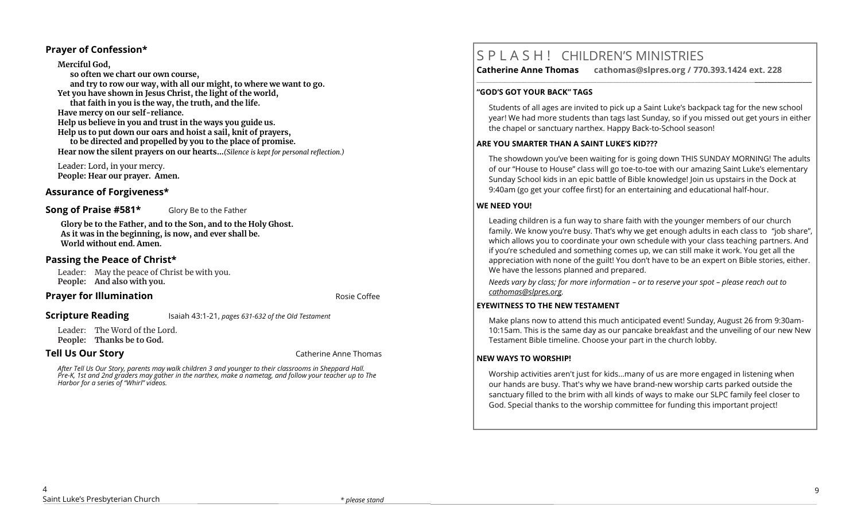#### **Prayer of Confession\***

**Merciful God, so often we chart our own course, and try to row our way, with all our might, to where we want to go. Yet you have shown in Jesus Christ, the light of the world, that faith in you is the way, the truth, and the life. Have mercy on our self-reliance. Help us believe in you and trust in the ways you guide us. Help us to put down our oars and hoist a sail, knit of prayers, to be directed and propelled by you to the place of promise. Hear now the silent prayers on our hearts…***(Silence is kept for personal reflection.)*

Leader: Lord, in your mercy. **People: Hear our prayer. Amen.**

## **Assurance of Forgiveness\***

#### **Song of Praise #581\*** Glory Be to the Father

**Glory be to the Father, and to the Son, and to the Holy Ghost. As it was in the beginning, is now, and ever shall be. World without end. Amen.**

### **Passing the Peace of Christ\***

Leader: May the peace of Christ be with you. **People: And also with you.** 

#### **Prayer for Illumination Rosing Contract Contract Area and Area** *Rosie* **Coffee <b>Rosing Contract Contract Contract Contract Contract Contract Contract Contract Contract Contract Contract Contract Contract Contract Contrac**

**Scripture Reading** Isaiah 43:1-21, *pages 631-632 of the Old Testament* 

Leader: The Word of the Lord. **People: Thanks be to God.** 

**Tell Us Our Story Catherine Anne Thomas Catherine Anne Thomas** 

*After Tell Us Our Story, parents may walk children 3 and younger to their classrooms in Sheppard Hall. Pre-K, 1st and 2nd graders may gather in the narthex, make a nametag, and follow your teacher up to The Harbor for a series of "Whirl" videos.*

# S P L A S H ! CHILDREN'S MINISTRIES

**Catherine Anne Thomas cathomas@slpres.org / 770.393.1424 ext. 228 \_\_\_\_\_\_\_\_\_\_\_\_\_\_\_\_\_\_\_\_\_\_\_\_\_\_\_\_\_\_\_\_\_\_\_\_\_\_\_\_\_\_\_\_\_\_\_\_\_\_\_\_\_\_\_\_\_\_\_\_\_\_\_\_\_\_\_\_\_\_\_\_\_\_\_\_\_\_\_\_\_\_\_\_\_\_\_\_\_\_\_\_\_\_\_\_\_\_\_\_\_\_\_\_\_\_** 

#### **"GOD'S GOT YOUR BACK" TAGS**

Students of all ages are invited to pick up a Saint Luke's backpack tag for the new school year! We had more students than tags last Sunday, so if you missed out get yours in either the chapel or sanctuary narthex. Happy Back-to-School season!

#### **ARE YOU SMARTER THAN A SAINT LUKE'S KID???**

The showdown you've been waiting for is going down THIS SUNDAY MORNING! The adults of our "House to House" class will go toe-to-toe with our amazing Saint Luke's elementary Sunday School kids in an epic battle of Bible knowledge! Join us upstairs in the Dock at 9:40am (go get your coffee first) for an entertaining and educational half-hour.

#### **WE NEED YOU!**

Leading children is a fun way to share faith with the younger members of our church family. We know you're busy. That's why we get enough adults in each class to "job share", which allows you to coordinate your own schedule with your class teaching partners. And if you're scheduled and something comes up, we can still make it work. You get all the appreciation with none of the guilt! You don't have to be an expert on Bible stories, either. We have the lessons planned and prepared.

*Needs vary by class; for more information – or to reserve your spot – please reach out to [cathomas@slpres.org.](mailto:cathomas@slpres.org)*

#### **EYEWITNESS TO THE NEW TESTAMENT**

Make plans now to attend this much anticipated event! Sunday, August 26 from 9:30am-10:15am. This is the same day as our pancake breakfast and the unveiling of our new New Testament Bible timeline. Choose your part in the church lobby.

#### **NEW WAYS TO WORSHIP!**

Worship activities aren't just for kids...many of us are more engaged in listening when our hands are busy. That's why we have brand-new worship carts parked outside the sanctuary filled to the brim with all kinds of ways to make our SLPC family feel closer to God. Special thanks to the worship committee for funding this important project!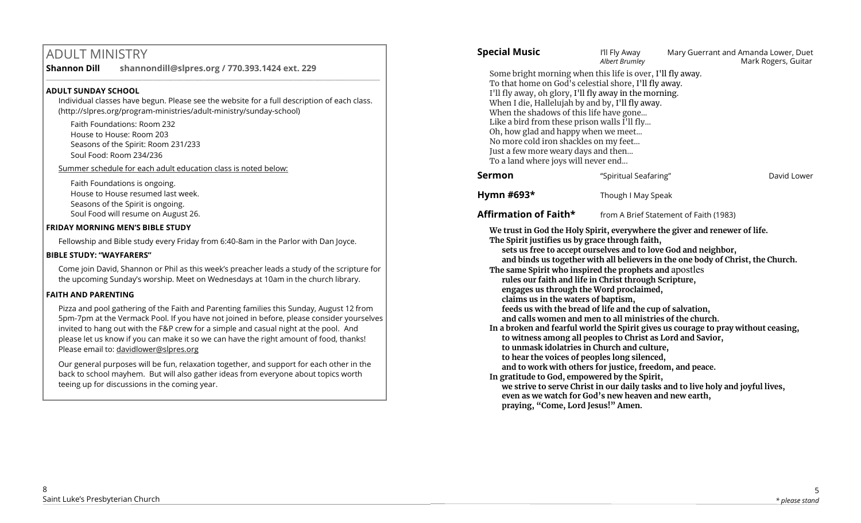# ADULT MINISTRY

**Shannon Dill shannondill@slpres.org / 770.393.1424 ext. 229**   $\_$  ,  $\_$  ,  $\_$  ,  $\_$  ,  $\_$  ,  $\_$  ,  $\_$  ,  $\_$  ,  $\_$  ,  $\_$  ,  $\_$  ,  $\_$  ,  $\_$  ,  $\_$  ,  $\_$  ,  $\_$  ,  $\_$  ,  $\_$  ,  $\_$ 

#### **ADULT SUNDAY SCHOOL**

Individual classes have begun. Please see the website for a full description of each class. (http://slpres.org/program-ministries/adult-ministry/sunday-school)

Faith Foundations: Room 232 House to House: Room 203 Seasons of the Spirit: Room 231/233 Soul Food: Room 234/236

Summer schedule for each adult education class is noted below:

Faith Foundations is ongoing. House to House resumed last week. Seasons of the Spirit is ongoing. Soul Food will resume on August 26.

## **FRIDAY MORNING MEN'S BIBLE STUDY**

Fellowship and Bible study every Friday from 6:40-8am in the Parlor with Dan Joyce.

#### **BIBLE STUDY: "WAYFARERS"**

Come join David, Shannon or Phil as this week's preacher leads a study of the scripture for the upcoming Sunday's worship. Meet on Wednesdays at 10am in the church library.

## **FAITH AND PARENTING**

Pizza and pool gathering of the Faith and Parenting families this Sunday, August 12 from 5pm-7pm at the Vermack Pool. If you have not joined in before, please consider yourselves invited to hang out with the F&P crew for a simple and casual night at the pool. And please let us know if you can make it so we can have the right amount of food, thanks! Please email to: davidlower@slpres.org

Our general purposes will be fun, relaxation together, and support for each other in the back to school mayhem. But will also gather ideas from everyone about topics worth teeing up for discussions in the coming year.

| <b>Special Music</b>                                                                                                                                                                                                                                                                                                                                                                                                                                                                                                                                                                                                                                                                                                                                                                                                                                                                                                                                                                                                                                                                                                                                              | I'll Fly Away<br>Albert Brumley | Mary Guerrant and Amanda Lower, Duet   | Mark Rogers, Guitar |
|-------------------------------------------------------------------------------------------------------------------------------------------------------------------------------------------------------------------------------------------------------------------------------------------------------------------------------------------------------------------------------------------------------------------------------------------------------------------------------------------------------------------------------------------------------------------------------------------------------------------------------------------------------------------------------------------------------------------------------------------------------------------------------------------------------------------------------------------------------------------------------------------------------------------------------------------------------------------------------------------------------------------------------------------------------------------------------------------------------------------------------------------------------------------|---------------------------------|----------------------------------------|---------------------|
| Some bright morning when this life is over, I'll fly away.<br>To that home on God's celestial shore, I'll fly away.<br>I'll fly away, oh glory, I'll fly away in the morning.<br>When I die, Hallelujah by and by, I'll fly away.<br>When the shadows of this life have gone<br>Like a bird from these prison walls I'll fly<br>Oh, how glad and happy when we meet<br>No more cold iron shackles on my feet<br>Just a few more weary days and then<br>To a land where joys will never end                                                                                                                                                                                                                                                                                                                                                                                                                                                                                                                                                                                                                                                                        |                                 |                                        |                     |
| <b>Sermon</b>                                                                                                                                                                                                                                                                                                                                                                                                                                                                                                                                                                                                                                                                                                                                                                                                                                                                                                                                                                                                                                                                                                                                                     | "Spiritual Seafaring"           |                                        | David Lower         |
| Hymn #693*                                                                                                                                                                                                                                                                                                                                                                                                                                                                                                                                                                                                                                                                                                                                                                                                                                                                                                                                                                                                                                                                                                                                                        | Though I May Speak              |                                        |                     |
| Affirmation of Faith*                                                                                                                                                                                                                                                                                                                                                                                                                                                                                                                                                                                                                                                                                                                                                                                                                                                                                                                                                                                                                                                                                                                                             |                                 | from A Brief Statement of Faith (1983) |                     |
| We trust in God the Holy Spirit, everywhere the giver and renewer of life.<br>The Spirit justifies us by grace through faith,<br>sets us free to accept ourselves and to love God and neighbor,<br>and binds us together with all believers in the one body of Christ, the Church.<br>The same Spirit who inspired the prophets and apostles<br>rules our faith and life in Christ through Scripture,<br>engages us through the Word proclaimed,<br>claims us in the waters of baptism,<br>feeds us with the bread of life and the cup of salvation,<br>and calls women and men to all ministries of the church.<br>In a broken and fearful world the Spirit gives us courage to pray without ceasing,<br>to witness among all peoples to Christ as Lord and Savior,<br>to unmask idolatries in Church and culture,<br>to hear the voices of peoples long silenced,<br>and to work with others for justice, freedom, and peace.<br>In gratitude to God, empowered by the Spirit,<br>we strive to serve Christ in our daily tasks and to live holy and joyful lives,<br>even as we watch for God's new heaven and new earth,<br>praying, "Come, Lord Jesus!" Amen. |                                 |                                        |                     |